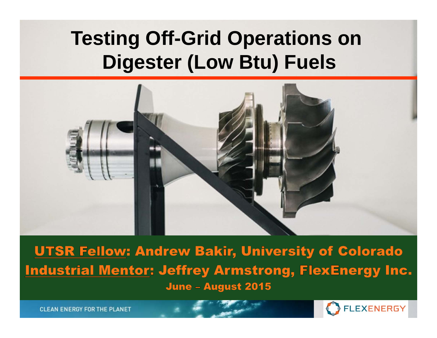# **Testing Off-Grid Operations on Digester (Low Btu) Fuels**



**UTSR Fellow: Andrew Bakir, University of Colorado Industrial Mentor: Jeffrey Armstrong, FlexEnergy Inc.** June - August 2015

**CLEAN ENERGY FOR THE PLANET** 

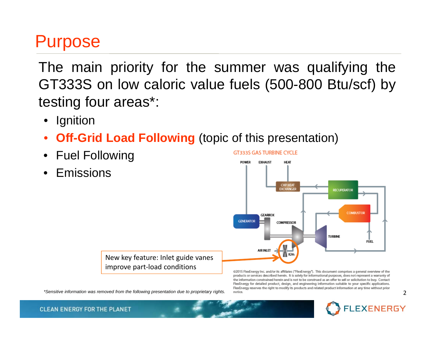#### Purpose

The main priority for the summer was qualifying the GT333S on low caloric value fuels (500-800 Btu/scf) by testing four areas\*:

- Ignition
- •**Off-Grid Load Following** (topic of this presentation)
- Fuel Following
- •Emissions



New key feature: Inlet guide vanes improve part‐load conditions

*\*Sensitive information was removed from the following presentation due to proprietary rights.* 2

@2015 FlexEnergy Inc. and/or its affiliates ("FlexEnergy"). This document comprises a general overview of the products or services described herein. It is solely for informational purposes, does not represent a warranty of the information constrained herein and is not to be construed as an offer to sell or solicitation to buy. Contact FlexEnergy for detailed product, design, and engineering information suitable to your specific applications. FlexEnergy reserves the right to modify its products and related product information at any time without prior



**CLEAN ENERGY FOR THE PLANET**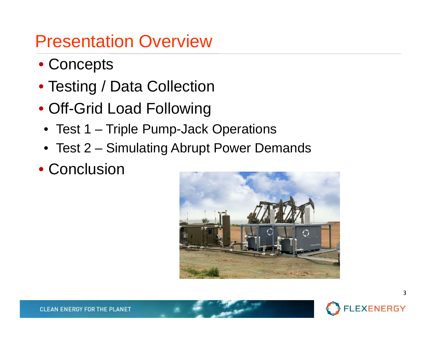## Presentation Overview

- Concepts
- Testing / Data Collection
- Off-Grid Load Following
- Test 1 Triple Pump-Jack Operations
- Test 2 Simulating Abrupt Power Demands
- Conclusion



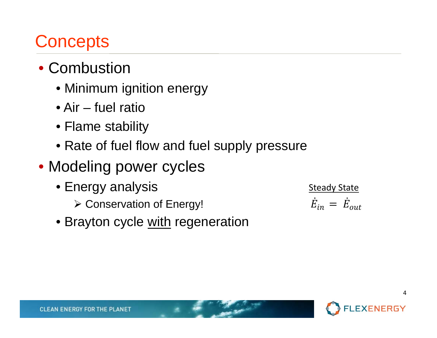## **Concepts**

- Combustion
	- Minimum ignition energy
	- Air fuel ratio
	- Flame stability
	- Rate of fuel flow and fuel supply pressure
- Modeling power cycles
	- Energy analysis
		- Conservation of Energy!

**Steady State**  $\pmb{E}$ ሶ $T_{in} = E$ ሶout

• Brayton cycle <u>with</u> regeneration

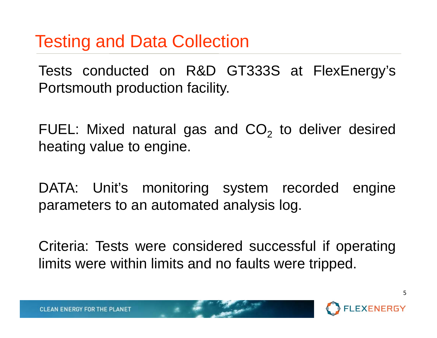#### Testing and Data Collection

Tests conducted on R&D GT333S at FlexEnergy's Portsmouth production facility.

FUEL: Mixed natural gas and CO<sub>2</sub> to deliver desired heating value to engine.

DATA: Unit's monitoring system recorded engine parameters to an automated analysis log.

Criteria: Tests were considered successful if operating limits were within limits and no faults were tripped.

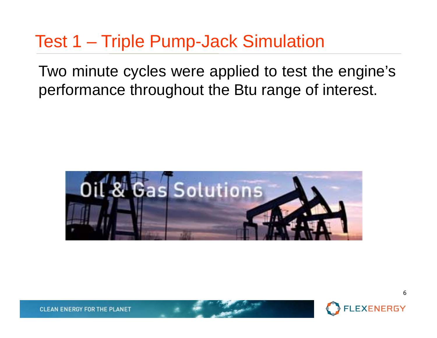### Test 1 – Triple Pump-Jack Simulation

Two minute cycles were applied to test the engine's performance throughout the Btu range of interest.



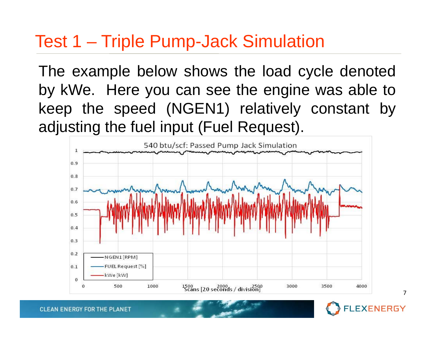#### Test 1 – Triple Pump-Jack Simulation

The example below shows the load cycle denoted by kWe. Here you can see the engine was able to keep the speed (NGEN1) relatively constant by adjusting the fuel input (Fuel Request).

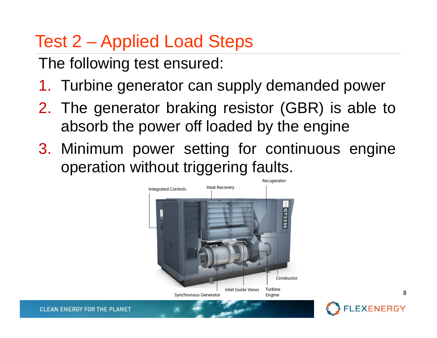## Test 2 – Applied Load Steps

The following test ensured:

- 1. Turbine generator can supply demanded power
- 2. The generator braking resistor (GBR) is able to absorb the power off loaded by the engine
- 3. Minimum power setting for continuous engine operation without triggering faults.



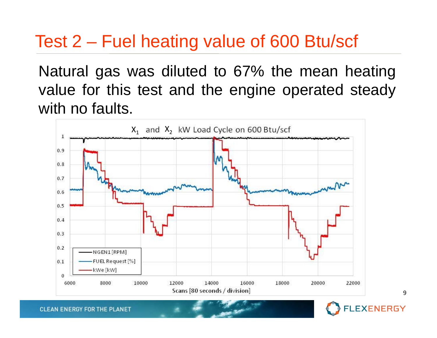### Test 2 – Fuel heating value of 600 Btu/scf

Natural gas was diluted to 67% the mean heating value for this test and the engine operated steady with no faults.





**CLEAN ENERGY FOR THE PLANET**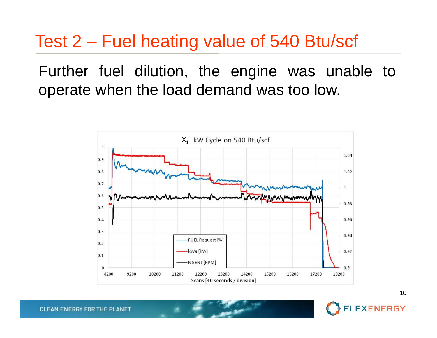#### Test 2 – Fuel heating value of 540 Btu/scf

Further fuel dilution, the engine was unable to operate when the load demand was too low.





**CLEAN ENERGY FOR THE PLANET**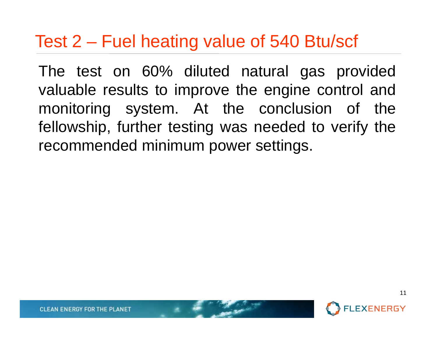#### Test 2 – Fuel heating value of 540 Btu/scf

The test on 60% diluted natural gas provided valuable results to improve the engine control and monitoring system. At the conclusion of the fellowship, further testing was needed to verify the recommended minimum power settings.

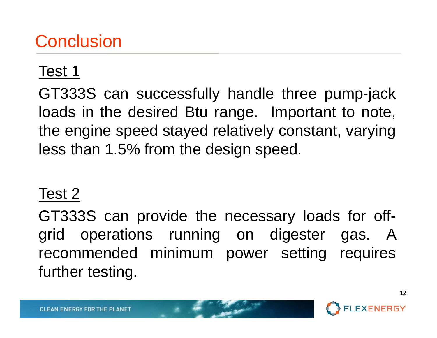## **Conclusion**

#### Test 1

GT333S can successfully handle three pump-jack loads in the desired Btu range. Important to note, the engine speed stayed relatively constant, varying less than 1.5% from the design speed.

#### Test 2

GT333S can provide the necessary loads for offgrid operations running on digester gas. A recommended minimum power setting requires further testing.